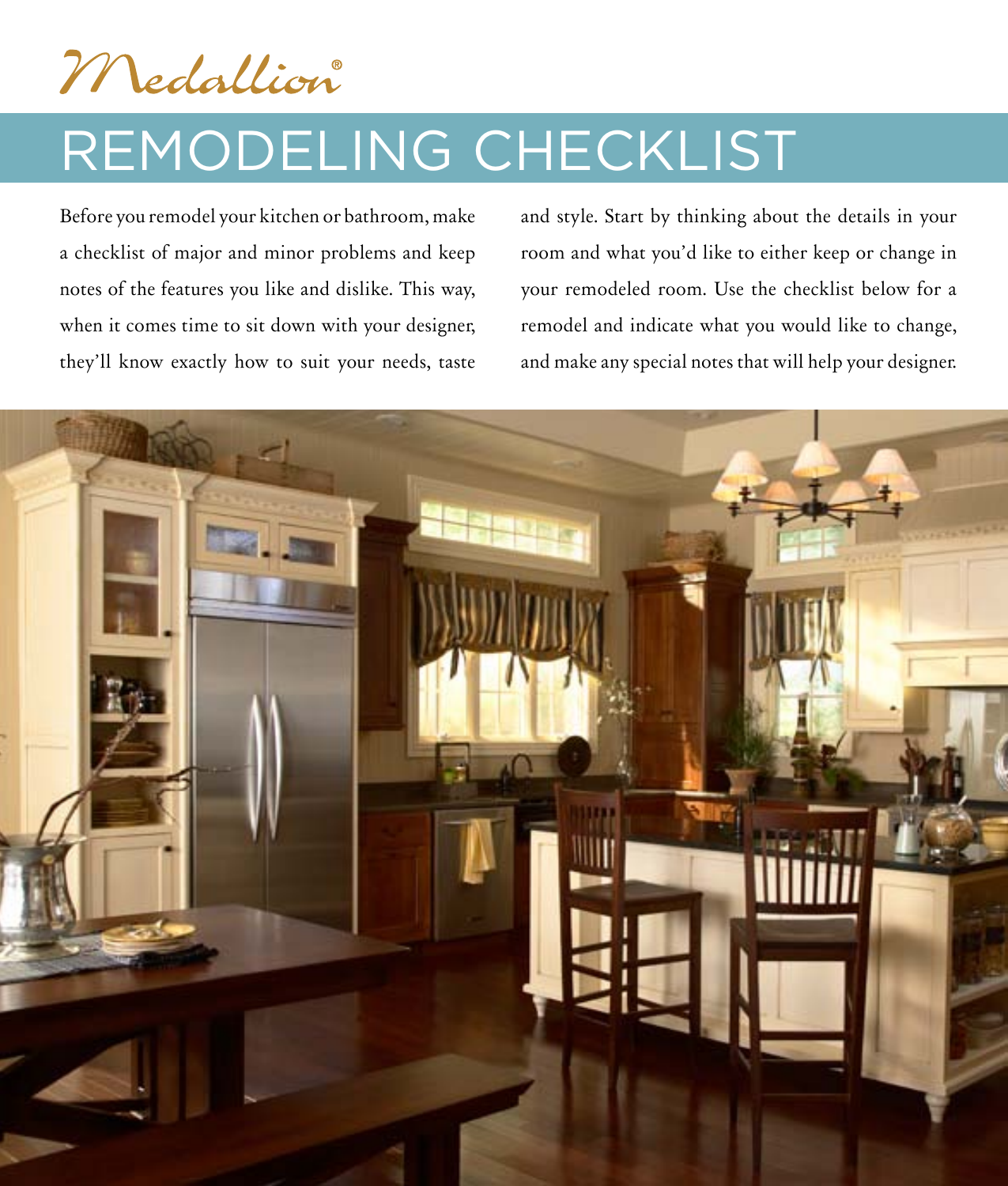Medallion

## Remodeling Checklist

Before you remodel your kitchen or bathroom, make a checklist of major and minor problems and keep notes of the features you like and dislike. This way, when it comes time to sit down with your designer, they'll know exactly how to suit your needs, taste

and style. Start by thinking about the details in your room and what you'd like to either keep or change in your remodeled room. Use the checklist below for a remodel and indicate what you would like to change, and make any special notes that will help your designer.

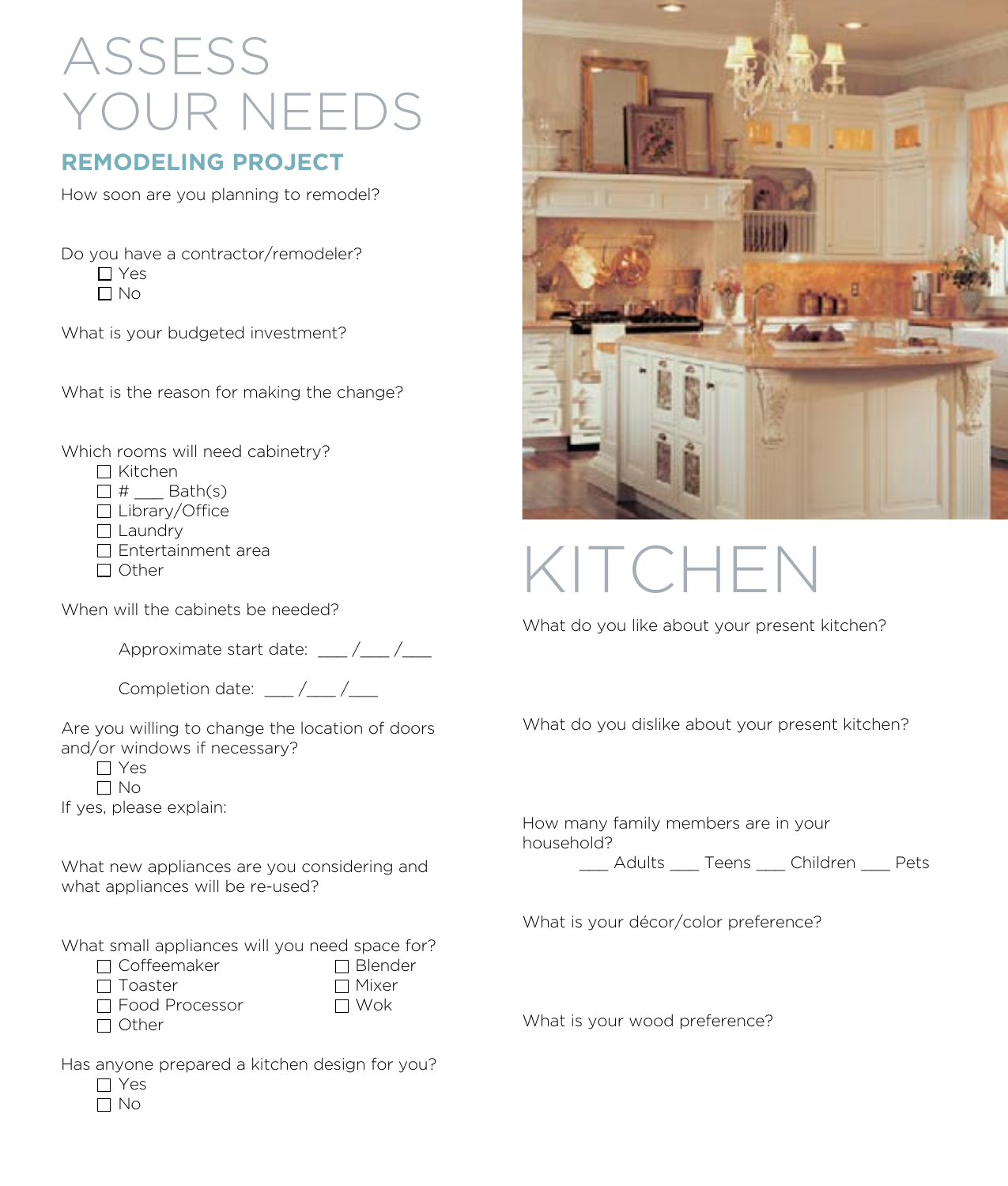## Assess YOUR NEEDS

## **remodeling project**

How soon are you planning to remodel?

Do you have a contractor/remodeler?  $\Gamma$  Yes  $\Box$  No

What is your budgeted investment?

What is the reason for making the change?

Which rooms will need cabinetry?

 $\Box$  Kitchen

 $\Box$  #  $\qquad$  Bath(s)

□ Library/Office

 $\Box$  Laundry

 $\square$  Entertainment area

 $\Box$  Other

When will the cabinets be needed?

Approximate start date: / /

| Completion date: |  |  |
|------------------|--|--|
|------------------|--|--|

Are you willing to change the location of doors and/or windows if necessary?

 $\Box$  Yes

 $\Box$  No

If yes, please explain:

What new appliances are you considering and what appliances will be re-used?

What small appliances will you need space for?

| $\Box$ Coffeemaker    | $\Box$ Blender |
|-----------------------|----------------|
| $\Box$ Toaster        | $\Box$ Mixer   |
| $\Box$ Food Processor | $\Box$ Wok     |
| $\Box$ Other          |                |

| Has anyone prepared a kitchen design for you? |  |  |  |
|-----------------------------------------------|--|--|--|
|                                               |  |  |  |



|                                       | 1 |  |
|---------------------------------------|---|--|
| <b>BB</b> <sup>+</sup> ESP<br>i.<br>Ŀ |   |  |

Kitchen

What do you like about your present kitchen?

What do you dislike about your present kitchen?

How many family members are in your household?

Adults Teens Children Pets

What is your décor/color preference?

What is your wood preference?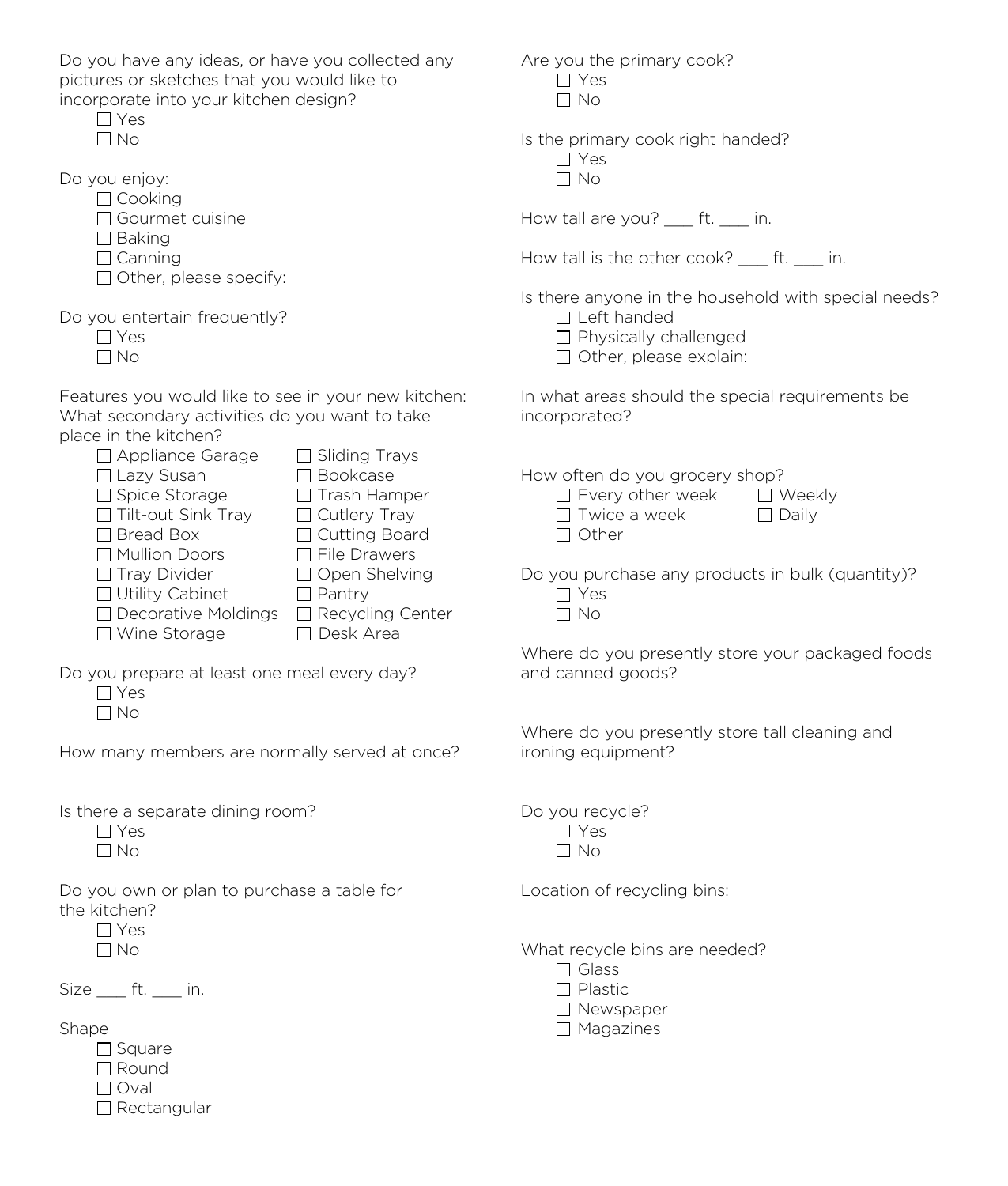Do you have any ideas, or have you collected any pictures or sketches that you would like to incorporate into your kitchen design?

|              | ۰¢.<br>↩     |
|--------------|--------------|
| $\mathbf{I}$ | $N_{\Omega}$ |

Do you enjoy:

| 1 Cookina |
|-----------|
|           |

- □ Gourmet cuisine
- $\square$  Baking
- $\Box$  Canning

 $\Box$  Other, please specify:

Do you entertain frequently?

- Yes
- $\Box$  No

Features you would like to see in your new kitchen: What secondary activities do you want to take place in the kitchen?

| $\Box$ Appliance Garage    | $\Box$ Sliding Trays    |
|----------------------------|-------------------------|
| □ Lazy Susan               | □ Bookcase              |
| □ Spice Storage            | $\Box$ Trash Hamper     |
| $\Box$ Tilt-out Sink Tray  | $\Box$ Cutlery Tray     |
| $\Box$ Bread Box           | □ Cutting Board         |
| Mullion Doors              | $\Box$ File Drawers     |
| $\Box$ Tray Divider        | □ Open Shelving         |
| □ Utility Cabinet          | $\Box$ Pantry           |
| $\Box$ Decorative Moldings | $\Box$ Recycling Center |
| □ Wine Storage             | Desk Area               |
|                            |                         |

Do you prepare at least one meal every day?

 Yes  $\Box$  No

How many members are normally served at once?

Is there a separate dining room?

 $\Box$  Yes  $\Box$  No

Do you own or plan to purchase a table for the kitchen?

 Yes  $\Box$  No

Size ft. in.

Shape

- $\Box$  Square
- Round
- $\Box$  Oval
- □ Rectangular

Are you the primary cook? □ Yes  $\Box$  No

Is the primary cook right handed?

□ Yes  $\Box$  No

How tall are you? ft. in.

How tall is the other cook? ft. in.

Is there anyone in the household with special needs?

- $\Box$  Left handed
- $\Box$  Physically challenged
- $\Box$  Other, please explain:

In what areas should the special requirements be incorporated?

How often do you grocery shop?

| $\Box$ Every other week | $\Box$ Weekly |
|-------------------------|---------------|
| $\Box$ Twice a week     | $\Box$ Daily  |
| $\Box$ Other            |               |
|                         |               |

Do you purchase any products in bulk (quantity)?

 Yes  $\Box$  No

Where do you presently store your packaged foods and canned goods?

Where do you presently store tall cleaning and ironing equipment?

Do you recycle?  $\Box$  Yes  $\Box$  No

Location of recycling bins:

What recycle bins are needed?

 $\Box$  Glass  $\Box$  Plastic □ Newspaper  $\Box$  Magazines